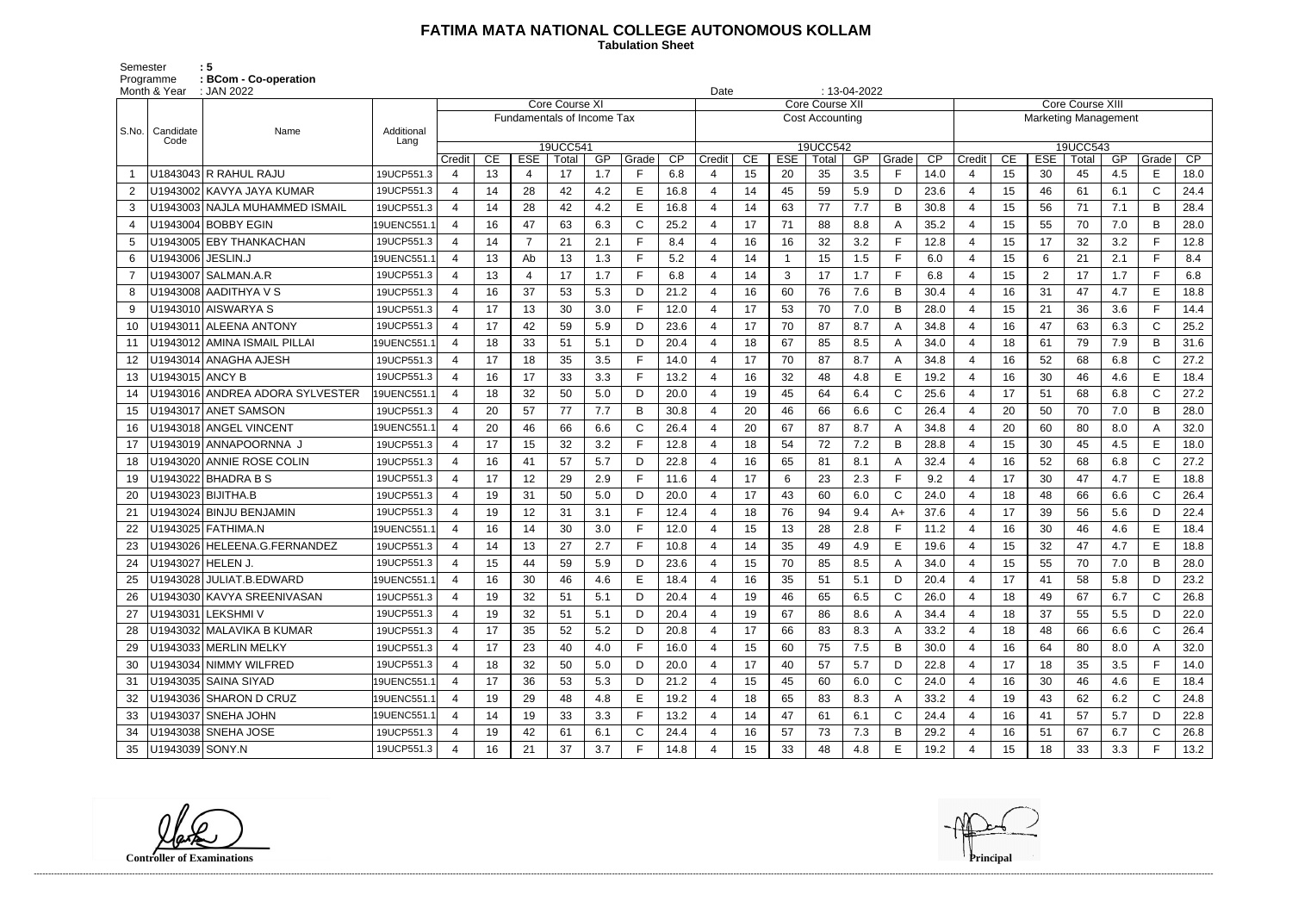## **FATIMA MATA NATIONAL COLLEGE AUTONOMOUS KOLLAM Tabulation Sheet**

Semester : 5 Programme **: BCom - Co-operation**

|                | Month & Year        | : JAN 2022                       |             |                |    |                                   |                       |     |       |      | Date           |    |            |                        | $: 13-04-2022$ |              |                                                        |                |    |                |       |     |              |      |
|----------------|---------------------|----------------------------------|-------------|----------------|----|-----------------------------------|-----------------------|-----|-------|------|----------------|----|------------|------------------------|----------------|--------------|--------------------------------------------------------|----------------|----|----------------|-------|-----|--------------|------|
|                |                     | Name                             |             |                |    |                                   | <b>Core Course XI</b> |     |       |      |                |    |            | Core Course XII        |                |              | <b>Core Course XIII</b><br><b>Marketing Management</b> |                |    |                |       |     |              |      |
| S.No.          | Candidate           |                                  | Additional  |                |    | <b>Fundamentals of Income Tax</b> |                       |     |       |      |                |    |            | <b>Cost Accounting</b> |                |              |                                                        |                |    |                |       |     |              |      |
|                | Code                |                                  | Lang        | 19UCC541       |    |                                   |                       |     |       |      |                |    |            | 19UCC542               |                |              |                                                        | 19UCC543       |    |                |       |     |              |      |
|                |                     |                                  |             | Credit         | CE | <b>ESE</b>                        | Total                 | GP  | Grade | CP   | Credit         | CE | <b>ESE</b> | Total                  | GP             | Grade        | CP                                                     | Credit         | CE | <b>ESE</b>     | Total | GP  | Grade        | CP   |
|                |                     | U1843043 R RAHUL RAJU            | 19UCP551.3  | 4              | 13 | 4                                 | 17                    | 1.7 | F.    | 6.8  |                | 15 | 20         | 35                     | 3.5            | F            | 14.0                                                   | $\Delta$       | 15 | 30             | 45    | 4.5 | E            | 18.0 |
| $\overline{2}$ |                     | U1943002 KAVYA JAYA KUMAR        | 19UCP551.3  | 4              | 14 | 28                                | 42                    | 4.2 | Е     | 16.8 |                | 14 | 45         | 59                     | 5.9            | D            | 23.6                                                   | 4              | 15 | 46             | 61    | 6.1 | $\mathsf{C}$ | 24.4 |
| 3              |                     | U1943003   NAJLA MUHAMMED ISMAIL | 19UCP551.3  | 4              | 14 | 28                                | 42                    | 4.2 | E     | 16.8 | $\overline{4}$ | 14 | 63         | 77                     | 7.7            | B            | 30.8                                                   | -4             | 15 | 56             | 71    | 7.1 | B            | 28.4 |
| 4              |                     | U1943004 BOBBY EGIN              | 19UENC551.  | 4              | 16 | 47                                | 63                    | 6.3 | C     | 25.2 |                | 17 | 71         | 88                     | 8.8            | A            | 35.2                                                   | $\overline{4}$ | 15 | 55             | 70    | 7.0 | B            | 28.0 |
| 5              |                     | U1943005 EBY THANKACHAN          | 19UCP551.3  | 4              | 14 | $\overline{7}$                    | 21                    | 2.1 | F.    | 8.4  |                | 16 | 16         | 32                     | 3.2            | F            | 12.8                                                   | $\overline{4}$ | 15 | 17             | 32    | 3.2 | F.           | 12.8 |
| 6              | U1943006   JESLIN.J |                                  | 19UENC551.  | 4              | 13 | Ab                                | 13                    | 1.3 | F.    | 5.2  |                | 14 |            | 15                     | 1.5            | F            | 6.0                                                    | $\overline{4}$ | 15 | 6              | 21    | 2.1 |              | 8.4  |
| $\overline{7}$ |                     | U1943007   SALMAN.A.R            | 19UCP551.3  | 4              | 13 | 4                                 | 17                    | 1.7 | F.    | 6.8  |                | 14 | 3          | 17                     | 1.7            | E            | 6.8                                                    | -4             | 15 | $\overline{2}$ | 17    | 1.7 | E.           | 6.8  |
| 8              |                     | U1943008 AADITHYA V S            | 19UCP551.3  | 4              | 16 | 37                                | 53                    | 5.3 | D     | 21.2 | $\overline{4}$ | 16 | 60         | 76                     | 7.6            | B            | 30.4                                                   | $\overline{4}$ | 16 | 31             | 47    | 4.7 | E            | 18.8 |
| 9              |                     | U1943010 AISWARYA S              | 19UCP551.3  | 4              | 17 | 13                                | 30                    | 3.0 | F.    | 12.0 |                | 17 | 53         | 70                     | 7.0            | B            | 28.0                                                   | $\overline{4}$ | 15 | 21             | 36    | 3.6 | E.           | 14.4 |
| 10             |                     | U1943011 ALEENA ANTONY           | 19UCP551.3  | 4              | 17 | 42                                | 59                    | 5.9 | D     | 23.6 | 4              | 17 | 70         | 87                     | 8.7            | A            | 34.8                                                   | $\overline{4}$ | 16 | 47             | 63    | 6.3 | $\mathsf{C}$ | 25.2 |
| 11             |                     | U1943012 AMINA ISMAIL PILLAI     | 19UENC551.  |                | 18 | 33                                | 51                    | 5.1 | D.    | 20.4 |                | 18 | 67         | 85                     | 8.5            | $\mathsf{A}$ | 34.0                                                   | $\overline{4}$ | 18 | 61             | 79    | 7.9 | B            | 31.6 |
| 12             |                     | U1943014   ANAGHA AJESH          | 19UCP551.3  | $\overline{4}$ | 17 | 18                                | 35                    | 3.5 | Е     | 14.0 |                | 17 | 70         | 87                     | 8.7            | A            | 34.8                                                   | $\overline{4}$ | 16 | 52             | 68    | 6.8 | $\mathsf{C}$ | 27.2 |
| 13             | U1943015   ANCY B   |                                  | 19UCP551.3  | 4              | 16 | 17                                | 33                    | 3.3 | F.    | 13.2 | 4              | 16 | 32         | 48                     | 4.8            | E            | 19.2                                                   | -4             | 16 | 30             | 46    | 4.6 | E            | 18.4 |
| 14             |                     | U1943016 ANDREA ADORA SYLVESTER  | 19UENC551.  | 4              | 18 | 32                                | 50                    | 5.0 | D     | 20.0 |                | 19 | 45         | 64                     | 6.4            | $\mathsf{C}$ | 25.6                                                   | $\overline{4}$ | 17 | 51             | 68    | 6.8 | $\mathsf{C}$ | 27.2 |
| 15             |                     | U1943017 ANET SAMSON             | 19UCP551.3  | 4              | 20 | 57                                | 77                    | 7.7 | В     | 30.8 |                | 20 | 46         | 66                     | 6.6            | $\mathsf{C}$ | 26.4                                                   | $\overline{4}$ | 20 | 50             | 70    | 7.0 | B            | 28.0 |
| 16             |                     | U1943018 ANGEL VINCENT           | 19UENC551.  | 4              | 20 | 46                                | 66                    | 6.6 | C     | 26.4 |                | 20 | 67         | 87                     | 8.7            | $\mathsf{A}$ | 34.8                                                   | 4              | 20 | 60             | 80    | 8.0 | A            | 32.0 |
| 17             |                     | U1943019 ANNAPOORNNA J           | 19UCP551.3  | 4              | 17 | 15                                | 32                    | 3.2 | F     | 12.8 |                | 18 | 54         | 72                     | 7.2            | B            | 28.8                                                   | -4             | 15 | 30             | 45    | 4.5 | E            | 18.0 |
| 18             |                     | U1943020 ANNIE ROSE COLIN        | 19UCP551.3  | 4              | 16 | 41                                | 57                    | 5.7 | D     | 22.8 |                | 16 | 65         | 81                     | 8.1            | A            | 32.4                                                   | $\overline{4}$ | 16 | 52             | 68    | 6.8 | $\mathsf{C}$ | 27.2 |
| 19             |                     | U1943022 BHADRA B S              | 19UCP551.3  | 4              | 17 | 12                                | 29                    | 2.9 | F     | 11.6 |                | 17 | 6          | 23                     | 2.3            | $\mathsf{F}$ | 9.2                                                    | $\overline{4}$ | 17 | 30             | 47    | 4.7 | E            | 18.8 |
| 20             |                     | U1943023 BIJITHA.B               | 19UCP551.3  | 4              | 19 | 31                                | 50                    | 5.0 | D     | 20.0 | 4              | 17 | 43         | 60                     | 6.0            | $\mathsf{C}$ | 24.0                                                   | -4             | 18 | 48             | 66    | 6.6 | $\mathsf{C}$ | 26.4 |
| 21             |                     | U1943024 BINJU BENJAMIN          | 19UCP551.3  | 4              | 19 | 12                                | 31                    | 3.1 | Е     | 12.4 |                | 18 | 76         | 94                     | 9.4            | A+           | 37.6                                                   | $\overline{4}$ | 17 | 39             | 56    | 5.6 | D            | 22.4 |
| 22             |                     | U1943025   FATHIMA.N             | 19UENC551.1 | 4              | 16 | 14                                | 30                    | 3.0 | Е     | 12.0 |                | 15 | 13         | 28                     | 2.8            | F            | 11.2                                                   | $\overline{4}$ | 16 | 30             | 46    | 4.6 | E            | 18.4 |
| 23             |                     | U1943026   HELEENA.G.FERNANDEZ   | 19UCP551.3  | 4              | 14 | 13                                | 27                    | 2.7 | F.    | 10.8 |                | 14 | 35         | 49                     | 4.9            | E            | 19.6                                                   | -4             | 15 | 32             | 47    | 4.7 | Е            | 18.8 |
| 24             | U1943027 HELEN J.   |                                  | 19UCP551.3  | 4              | 15 | 44                                | 59                    | 5.9 | D     | 23.6 |                | 15 | 70         | 85                     | 8.5            | A            | 34.0                                                   | $\overline{4}$ | 15 | 55             | 70    | 7.0 | B            | 28.0 |
| 25             |                     | U1943028 JULIAT.B.EDWARD         | 19UENC551.1 | 4              | 16 | 30                                | 46                    | 4.6 | Е     | 18.4 | 4              | 16 | 35         | 51                     | 5.1            | D            | 20.4                                                   | 4              | 17 | 41             | 58    | 5.8 | D            | 23.2 |
|                |                     | U1943030 KAVYA SREENIVASAN       | 19UCP551.3  | 4              | 19 | 32                                | 51                    | 5.1 | D.    | 20.4 |                | 19 | 46         | 65                     | 6.5            | C            | 26.0                                                   | -4             | 18 | 49             | 67    | 6.7 | $\mathsf{C}$ | 26.8 |
| 27             |                     | U1943031 LEKSHMI V               | 19UCP551.3  | 4              | 19 | 32                                | 51                    | 5.1 | D     | 20.4 | $\overline{4}$ | 19 | 67         | 86                     | 8.6            | A            | 34.4                                                   | -4             | 18 | 37             | 55    | 5.5 | D            | 22.0 |
| 28             |                     | U1943032 MALAVIKA B KUMAR        | 19UCP551.3  | 4              | 17 | 35                                | 52                    | 5.2 | D     | 20.8 | 4              | 17 | 66         | 83                     | 8.3            | A            | 33.2                                                   | $\overline{4}$ | 18 | 48             | 66    | 6.6 | C            | 26.4 |
| 29             |                     | U1943033 MERLIN MELKY            | 19UCP551.3  | 4              | 17 | 23                                | 40                    | 4.0 | F     | 16.0 |                | 15 | 60         | 75                     | 7.5            | B            | 30.0                                                   | $\overline{a}$ | 16 | 64             | 80    | 8.0 |              | 32.0 |
| 30             |                     | U1943034 NIMMY WILFRED           | 19UCP551.3  | 4              | 18 | 32                                | 50                    | 5.0 | D     | 20.0 | 4              | 17 | 40         | 57                     | 5.7            | D            | 22.8                                                   | -4             | 17 | 18             | 35    | 3.5 | F.           | 14.0 |
| 31             |                     | U1943035 SAINA SIYAD             | 19UENC551.1 | 4              | 17 | 36                                | 53                    | 5.3 | D     | 21.2 |                | 15 | 45         | 60                     | 6.0            | C            | 24.0                                                   | -4             | 16 | 30             | 46    | 4.6 | E            | 18.4 |
| 32             |                     | U1943036 SHARON D CRUZ           | 19UENC551.1 | 4              | 19 | 29                                | 48                    | 4.8 | E,    | 19.2 |                | 18 | 65         | 83                     | 8.3            | A            | 33.2                                                   | -4             | 19 | 43             | 62    | 6.2 | $\mathsf{C}$ | 24.8 |
| 33             |                     | U1943037 SNEHA JOHN              | 19UENC551.1 | 4              | 14 | 19                                | 33                    | 3.3 | F.    | 13.2 | $\overline{4}$ | 14 | 47         | 61                     | 6.1            | C            | 24.4                                                   | -4             | 16 | 41             | 57    | 5.7 | D            | 22.8 |
| 34             |                     | U1943038 SNEHA JOSE              | 19UCP551.3  | 4              | 19 | 42                                | 61                    | 6.1 | C     | 24.4 |                | 16 | 57         | 73                     | 7.3            | B            | 29.2                                                   | $\overline{4}$ | 16 | 51             | 67    | 6.7 | $\mathsf{C}$ | 26.8 |
| 35             | U1943039 SONY.N     |                                  | 19UCP551.3  | 4              | 16 | 21                                | 37                    | 3.7 | F.    | 14.8 |                | 15 | 33         | 48                     | 4.8            | Е            | 19.2                                                   | -4             | 15 | 18             | 33    | 3.3 | F.           | 13.2 |

**Controller of Examinations Principal**

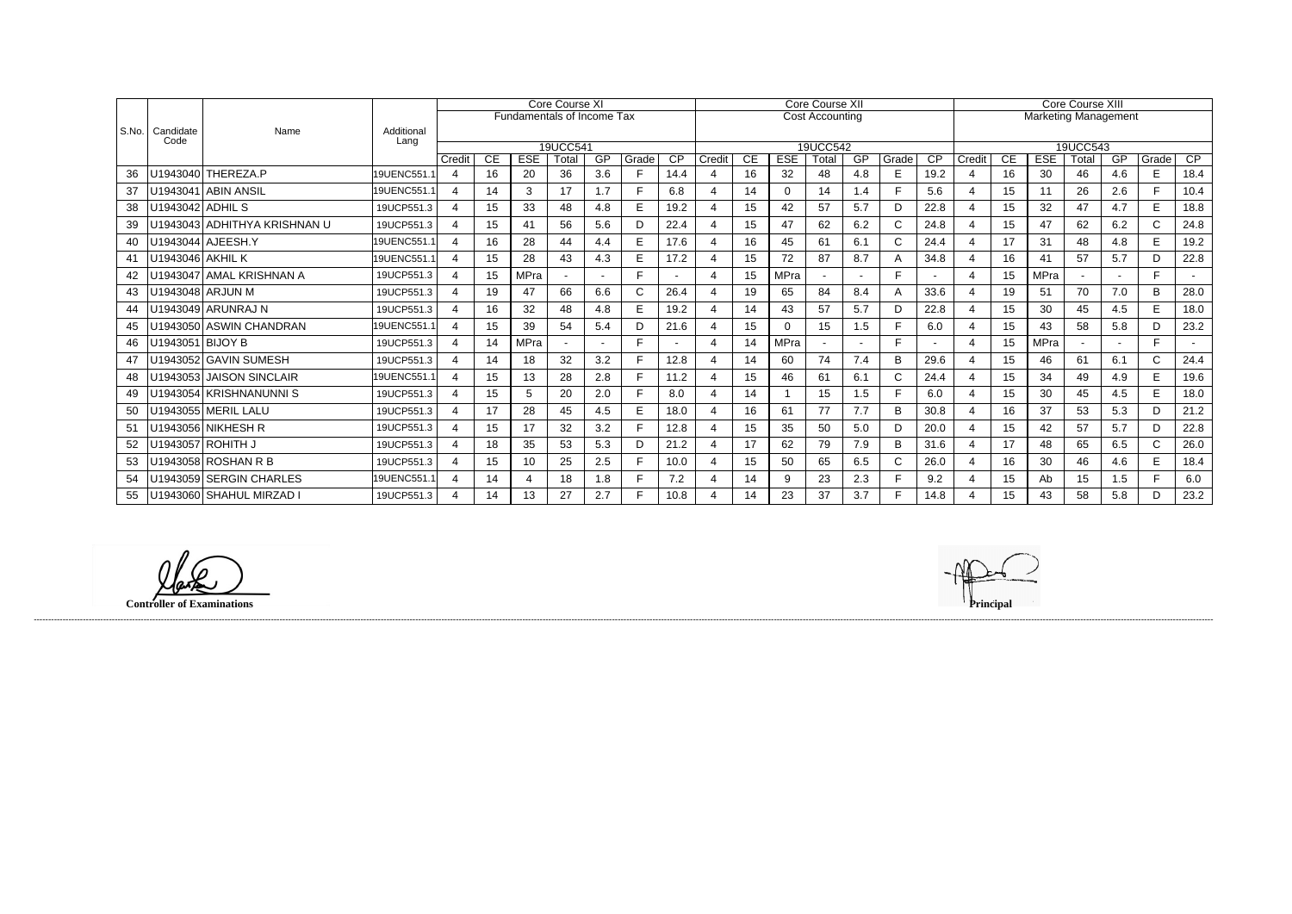|       |                   | Name                         | Additional<br>Lang | <b>Core Course XI</b>      |           |             |       |     |             |                 |        |    |             | <b>Core Course XII</b> |           |              | <b>Core Course XIII</b> |                       |           |                             |                 |     |              |      |
|-------|-------------------|------------------------------|--------------------|----------------------------|-----------|-------------|-------|-----|-------------|-----------------|--------|----|-------------|------------------------|-----------|--------------|-------------------------|-----------------------|-----------|-----------------------------|-----------------|-----|--------------|------|
| S.No. |                   |                              |                    | Fundamentals of Income Tax |           |             |       |     |             |                 |        |    |             | <b>Cost Accounting</b> |           |              |                         |                       |           | <b>Marketing Management</b> |                 |     |              |      |
|       | Candidate<br>Code |                              |                    |                            |           |             |       |     |             |                 |        |    |             |                        |           |              |                         |                       |           |                             |                 |     |              |      |
|       |                   |                              |                    |                            | 19UCC541  |             |       |     |             |                 |        |    |             | 19UCC542               |           |              |                         |                       |           |                             | 19UCC543        |     |              |      |
|       |                   |                              |                    | Credit                     | <b>CE</b> | <b>ESE</b>  | Total | GP  | Grade<br>F. | $\overline{CP}$ | Credit | CE | <b>ESE</b>  | Total                  | <b>GP</b> | Grade        | CP                      | Credit                | <b>CE</b> | <b>ESE</b>                  | Total           | GP  | Grade        | CP   |
| 36    |                   | U1943040 THEREZA.P           | 19UENC551.1        | $\overline{4}$             | 16        | 20          | 36    | 3.6 |             | 14.4            |        | 16 | 32          | 48                     | 4.8       | E            | 19.2                    |                       | 16        | 30                          | 46              | 4.6 | E            | 18.4 |
| 37    |                   | U1943041 ABIN ANSIL          | 19UENC551.1        | $\overline{a}$             | 14        | 3           | 17    | 1.7 |             | 6.8             |        | 14 | 0           | 14                     | 1.4       | F            | 5.6                     |                       | 15        | 11                          | 26              | 2.6 | F.           | 10.4 |
| 38    | U1943042 ADHIL S  |                              | 19UCP551.3         | 4                          | 15        | 33          | 48    | 4.8 | E           | 19.2            |        | 15 | 42          | 57                     | 5.7       | D            | 22.8                    |                       | 15        | 32                          | 47              | 4.7 | E            | 18.8 |
| 39    |                   | U1943043 ADHITHYA KRISHNAN U | 19UCP551.3         | 4                          | 15        | 41          | 56    | 5.6 | D           | 22.4            |        | 15 | 47          | 62                     | 6.2       | $\mathsf{C}$ | 24.8                    |                       | 15        | 47                          | 62              | 6.2 | $\mathsf{C}$ | 24.8 |
| 40    |                   | U1943044 AJEESH.Y            | 19UENC551.1        | 4                          | 16        | 28          | 44    | 4.4 | E           | 17.6            |        | 16 | 45          | 61                     | 6.1       | $\mathsf{C}$ | 24.4                    | $\boldsymbol{4}$      | 17        | 31                          | 48              | 4.8 | E            | 19.2 |
| 41    | U1943046 AKHIL K  |                              | 19UENC551.1        |                            | 15        | 28          | 43    | 4.3 | E           | 17.2            |        | 15 | 72          | 87                     | 8.7       | A            | 34.8                    |                       | 16        | 41                          | 57              | 5.7 | D            | 22.8 |
|       |                   | U1943047 AMAL KRISHNAN A     | 19UCP551.3         | $\overline{a}$             | 15        | <b>MPra</b> |       |     | F.          |                 |        | 15 | <b>MPra</b> |                        |           | E            |                         | $\overline{4}$        | 15        | MPra                        |                 |     | F.           |      |
| 43    |                   | U1943048 ARJUN M             | 19UCP551.3         | 4                          | 19        | 47          | 66    | 6.6 | C           | 26.4            |        | 19 | 65          | 84                     | 8.4       | A            | 33.6                    |                       | 19        | 51                          | 70              | 7.0 | B            | 28.0 |
| 44    |                   | U1943049 ARUNRAJ N           | 19UCP551.3         | 4                          | 16        | 32          | 48    | 4.8 | E.          | 19.2            |        | 14 | 43          | 57                     | 5.7       | D            | 22.8                    |                       | 15        | 30                          | 45              | 4.5 | E.           | 18.0 |
| 45    |                   | U1943050 ASWIN CHANDRAN      | 19UENC551.1        | 4                          | 15        | 39          | 54    | 5.4 | D           | 21.6            |        | 15 |             | 15                     | 1.5       | E            | 6.0                     |                       | 15        | 43                          | 58              | 5.8 | D            | 23.2 |
| 46    | U1943051 BIJOY B  |                              | 19UCP551.3         | 4                          | 14        | <b>MPra</b> |       |     |             |                 |        | 14 | MPra        |                        |           | F.           |                         |                       | 15        | <b>MPra</b>                 |                 |     | F.           |      |
| 47    |                   | U1943052 GAVIN SUMESH        | 19UCP551.3         | $\overline{4}$             | 14        | 18          | 32    | 3.2 |             | 12.8            |        | 14 | 60          | 74                     | 7.4       | B            | 29.6                    |                       | 15        | 46                          | 61              | 6.1 | $\mathsf{C}$ | 24.4 |
| 48    |                   | U1943053 JAISON SINCLAIR     | 19UENC551.1        | 4                          | 15        | 13          | 28    | 2.8 |             | 11.2            |        | 15 | 46          | 61                     | 6.1       | $\mathsf{C}$ | 24.4                    |                       | 15        | 34                          | 49              | 4.9 | E            | 19.6 |
| 49    |                   | U1943054 KRISHNANUNNI S      | 19UCP551.3         | 4                          | 15        | 5           | 20    | 2.0 |             | 8.0             |        | 14 |             | 15                     | 1.5       | E            | 6.0                     |                       | 15        | 30                          | 45              | 4.5 | E.           | 18.0 |
| 50    |                   | U1943055   MERIL LALU        | 19UCP551.3         | 4                          | 17        | 28          | 45    | 4.5 | E           | 18.0            |        | 16 | 61          | 77                     | 7.7       | B            | 30.8                    |                       | 16        | 37                          | 53              | 5.3 | D            | 21.2 |
| 51    |                   | U1943056 NIKHESH R           | 19UCP551.3         | 4                          | 15        | 17          | 32    | 3.2 |             | 12.8            |        | 15 | 35          | 50                     | 5.0       | D            | 20.0                    | $\overline{4}$        | 15        | 42                          | 57              | 5.7 | D            | 22.8 |
| 52    |                   | U1943057   ROHITH J          | 19UCP551.3         | 4                          | 18        | 35          | 53    | 5.3 | D           | 21.2            |        | 17 | 62          | 79                     | 7.9       | B            | 31.6                    |                       | 17        | 48                          | 65              | 6.5 | $\mathsf{C}$ | 26.0 |
| 53    |                   | U1943058 ROSHAN R B          | 19UCP551.3         | 4                          | 15        | 10          | 25    | 2.5 |             | 10.0            |        | 15 | 50          | 65                     | 6.5       | $\mathsf{C}$ | 26.0                    | $\boldsymbol{\Delta}$ | 16        | 30                          | 46              | 4.6 | E.           | 18.4 |
| 54    |                   | U1943059 SERGIN CHARLES      | 19UENC551.1        | 4                          | 14        | 4           | 18    | 1.8 |             | 7.2             |        | 14 | 9           | 23                     | 2.3       | F            | 9.2                     |                       | 15        | Ab                          | 15 <sub>1</sub> | 1.5 | F.           | 6.0  |
| 55    |                   | U1943060 SHAHUL MIRZAD I     | 19UCP551.3         |                            | 14        | 13          | 27    | 2.7 | F.          | 10.8            |        | 14 | 23          | 37                     | 3.7       | E            | 14.8                    |                       | 15        | 43                          | 58              | 5.8 | D            | 23.2 |

lark

**Controller of Examinations Principal**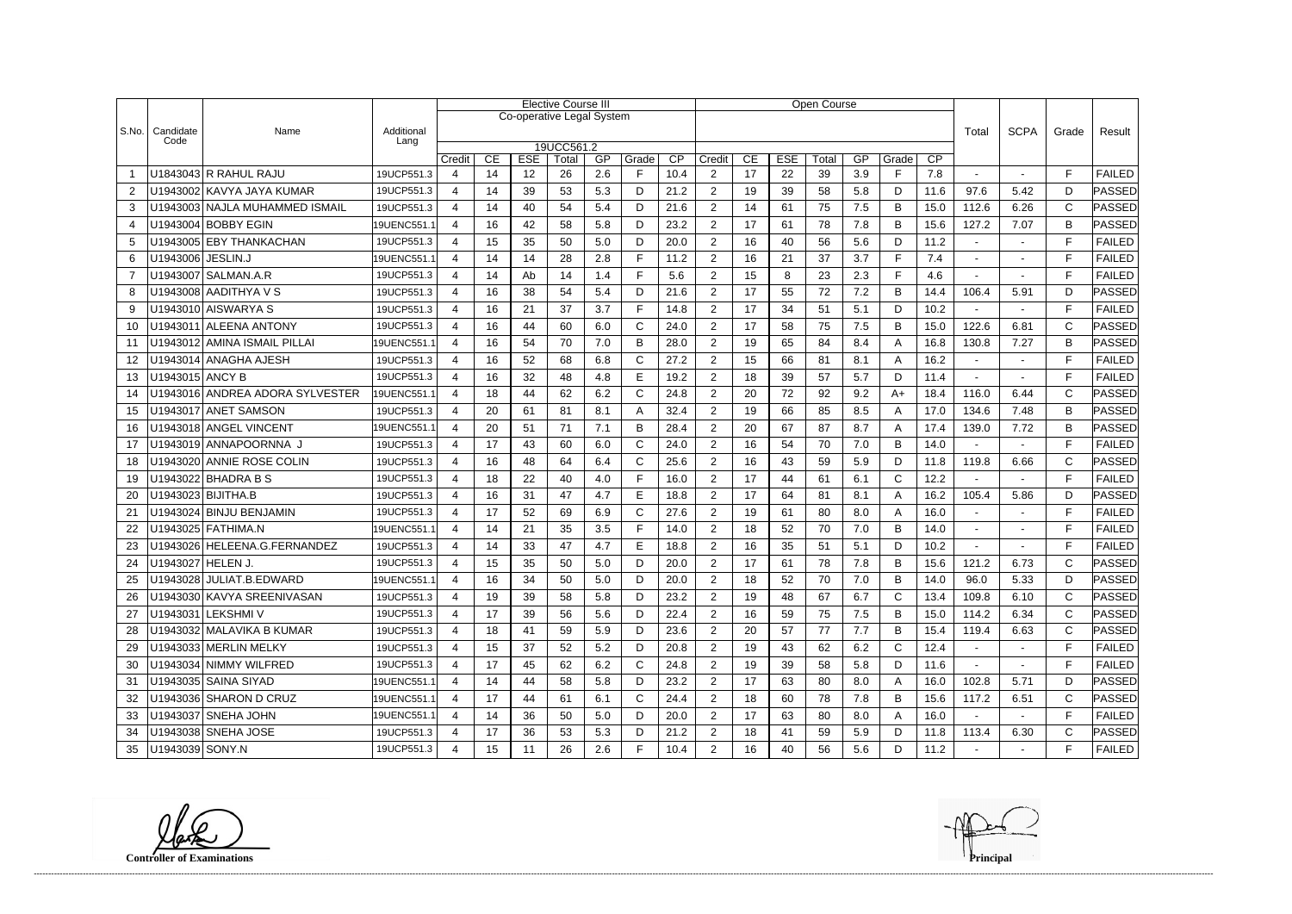|                |                   |                                 |                    | <b>Elective Course III</b>                                                          |    |                           |              |     |              |      |                |    |            | <b>Open Course</b> |     |              |                 |                   |                |              |                      |
|----------------|-------------------|---------------------------------|--------------------|-------------------------------------------------------------------------------------|----|---------------------------|--------------|-----|--------------|------|----------------|----|------------|--------------------|-----|--------------|-----------------|-------------------|----------------|--------------|----------------------|
|                |                   |                                 |                    |                                                                                     |    | Co-operative Legal System |              |     |              |      |                |    |            |                    |     |              |                 |                   |                |              |                      |
| S.No.          | Candidate<br>Code | Name                            | Additional<br>Lang |                                                                                     |    |                           |              |     |              |      |                |    |            |                    |     |              |                 | Total             | <b>SCPA</b>    | Grade        | Result               |
|                |                   |                                 |                    | 19UCC561.2<br><b>ESE</b><br>GP<br>$\overline{CP}$<br>Credit<br>CE<br>Total<br>Grade |    |                           |              |     |              |      | Credit         | CE | <b>ESE</b> | Total              | GP  | CP           |                 |                   |                |              |                      |
|                |                   | U1843043 R RAHUL RAJU           | 19UCP551.3         |                                                                                     | 14 | 12                        | 26           | 2.6 | F            | 10.4 | $\overline{c}$ | 17 | 22         | 39                 | 3.9 | Grade<br>E   | 7.8             |                   |                | F            | <b>FAILED</b>        |
| $\overline{2}$ |                   | U1943002 KAVYA JAYA KUMAR       | 19UCP551.3         | $\overline{4}$                                                                      | 14 | 39                        | 53           | 5.3 | D            | 21.2 | $\overline{2}$ | 19 | 39         | 58                 | 5.8 | D            | 11.6            | 97.6              | 5.42           | D            | PASSED               |
| 3              |                   | U1943003 NAJLA MUHAMMED ISMAIL  | 19UCP551.3         | Δ                                                                                   | 14 | 40                        | 54           | 5.4 | D            | 21.6 | $\overline{2}$ | 14 | 61         | 75                 | 7.5 | B            | 15.0            | 112.6             | 6.26           | C            | PASSED               |
| $\overline{4}$ |                   | U1943004 BOBBY EGIN             | 19UENC551.1        | $\boldsymbol{\Lambda}$                                                              | 16 | 42                        | 58           | 5.8 | D            | 23.2 | $\overline{2}$ | 17 | 61         | 78                 | 7.8 | B            | 15.6            | 127.2             | 7.07           | B            | <b>PASSED</b>        |
| 5              |                   | U1943005 EBY THANKACHAN         | 19UCP551.3         | $\boldsymbol{\Delta}$                                                               | 15 | 35                        | 50           | 5.0 | D            | 20.0 | $\overline{2}$ | 16 | 40         | 56                 | 5.6 | D            | 11.2            |                   | $\blacksquare$ | F            | <b>FAILED</b>        |
| 6              | U1943006 JESLIN.J |                                 | 19UENC551.1        | Δ                                                                                   | 14 | 14                        | 28           | 2.8 | F            | 11.2 | $\overline{2}$ | 16 | 21         | 37                 | 3.7 | E            | 7.4             |                   |                | $\mathsf{F}$ | <b>FAILED</b>        |
| $\overline{7}$ |                   | U1943007 SALMAN.A.R             | 19UCP551.3         | $\overline{\mathcal{A}}$                                                            | 14 | Ab                        | 14           | 1.4 | F            | 5.6  | $\overline{2}$ | 15 | 8          | 23                 | 2.3 | F.           | 4.6             |                   |                | F            | <b>FAILED</b>        |
| 8              |                   | U1943008 AADITHYA V S           | 19UCP551.3         |                                                                                     | 16 | 38                        | 54           | 5.4 | D            | 21.6 | $\overline{2}$ | 17 | 55         | 72                 | 7.2 | B            | 14.4            | 106.4             | 5.91           | D            | PASSED               |
| 9              |                   | U1943010 AISWARYA S             | 19UCP551.3         | $\boldsymbol{\Delta}$                                                               | 16 | 21                        | 37           | 3.7 | F            | 14.8 | $\overline{2}$ | 17 | 34         | 51                 | 5.1 | D            | 10.2            |                   | $\sim$         | E            | <b>FAILED</b>        |
| 10             |                   | U1943011 ALEENA ANTONY          | 19UCP551.3         | 4                                                                                   | 16 | 44                        | 60           | 6.0 | C            | 24.0 | $\overline{2}$ | 17 | 58         | 75                 | 7.5 | B            | 15.0            | 122.6             | 6.81           | $\mathsf{C}$ | <b>PASSED</b>        |
| 11             |                   | U1943012 AMINA ISMAIL PILLAI    | 19UENC551.1        | 4                                                                                   | 16 | 54                        | 70           | 7.0 | B            | 28.0 | $\overline{2}$ | 19 | 65         | 84                 | 8.4 | A            | 16.8            | 130.8             | 7.27           | B            | PASSED               |
| 12             |                   | U1943014 ANAGHA AJESH           | 19UCP551.3         | $\overline{4}$                                                                      | 16 | 52                        | 68           | 6.8 | $\mathsf{C}$ | 27.2 | $\overline{2}$ | 15 | 66         | 81                 | 8.1 | A            | 16.2            |                   |                | F            | <b>FAILED</b>        |
| 13             | U1943015 ANCY B   |                                 | 19UCP551.3         |                                                                                     | 16 | 32                        | 48           | 4.8 | Е            | 19.2 | $\overline{2}$ | 18 | 39         | 57                 | 5.7 | D            | 11.4            |                   |                | F            | <b>FAILED</b>        |
| 14             |                   | U1943016 ANDREA ADORA SYLVESTER | 19UENC551.1        |                                                                                     | 18 | 44                        | 62           | 6.2 | $\mathsf{C}$ | 24.8 | $\overline{2}$ | 20 | 72         | 92                 | 9.2 | $A+$         | 18.4            | 116.0             | 6.44           | $\mathsf{C}$ | <b>PASSED</b>        |
| 15             |                   | U1943017 ANET SAMSON            | 19UCP551.3         |                                                                                     | 20 | 61                        | 81           | 8.1 | A            | 32.4 | $\overline{2}$ | 19 | 66         | 85                 | 8.5 | A            | 17.0            | 134.6             | 7.48           | B            | <b>PASSED</b>        |
| 16             |                   | U1943018 ANGEL VINCENT          | 19UENC551.1        | $\boldsymbol{\Lambda}$                                                              | 20 | 51                        | 71           | 7.1 | B            | 28.4 | $\overline{2}$ | 20 | 67         | 87                 | 8.7 | Α            | 17.4            | 139.0             | 7.72           | B            | ∣PASSED              |
| 17             |                   | U1943019 ANNAPOORNNA J          | 19UCP551.3         | $\overline{\mathcal{A}}$                                                            | 17 | 43                        | 60           | 6.0 | $\mathsf{C}$ | 24.0 | $\overline{2}$ | 16 | 54         | 70                 | 7.0 | B            | 14.0            |                   |                | E            | <b>FAILED</b>        |
| 18             |                   | U1943020 ANNIE ROSE COLIN       | 19UCP551.3         | Δ                                                                                   | 16 | 48                        | 64           | 6.4 | $\mathsf{C}$ | 25.6 | $\overline{2}$ | 16 | 43         | 59                 | 5.9 | D            | 11.8            | 119.8             | 6.66           | $\mathsf{C}$ | PASSED               |
| 19             |                   | U1943022 BHADRA B S             | 19UCP551.3         | $\boldsymbol{\Delta}$                                                               | 18 | 22                        | 40           | 4.0 | F            | 16.0 | $\overline{2}$ | 17 | 44         | 61                 | 6.1 | $\mathsf{C}$ | 12.2            |                   |                | E            | <b>FAILED</b>        |
| 20             |                   | U1943023 BIJITHA.B              | 19UCP551.3         | Δ                                                                                   | 16 | 31                        | 47           | 4.7 | E            | 18.8 | $\overline{2}$ | 17 | 64         | 81                 | 8.1 | A            | 16.2            | 105.4             | 5.86           | D            | <b>PASSED</b>        |
| 21             |                   | U1943024 BINJU BENJAMIN         | 19UCP551.3         | 4                                                                                   | 17 | 52                        | 69           | 6.9 | $\mathsf C$  | 27.6 | $\overline{2}$ | 19 | 61         | 80                 | 8.0 | A            | 16.0            |                   |                | F            | <b>FAILED</b>        |
| 22             |                   | U1943025 FATHIMA.N              | 19UENC551.1        | $\overline{a}$                                                                      | 14 | 21                        | 35           | 3.5 | F            | 14.0 | $\overline{2}$ | 18 | 52         | 70                 | 7.0 | B            | 14.0            |                   |                | F            | <b>FAILED</b>        |
| 23             |                   | U1943026 HELEENA.G.FERNANDEZ    | 19UCP551.3         | Δ                                                                                   | 14 | 33                        | 47           | 4.7 | E            | 18.8 | $\overline{2}$ | 16 | 35         | 51                 | 5.1 | D            | 10.2            |                   |                | F            | <b>FAILED</b>        |
| 24             | U1943027 HELEN J. |                                 | 19UCP551.3         |                                                                                     | 15 | 35                        | 50           | 5.0 | D            | 20.0 | $\overline{2}$ | 17 | 61         | 78                 | 7.8 | B            | 15.6            | 121.2             | 6.73           | C            | PASSED               |
| 25             |                   | U1943028 JULIAT.B.EDWARD        | 19UENC551.1        | Δ                                                                                   | 16 | 34                        | $50^{\circ}$ | 50  | D            | 200  | $\mathcal{D}$  | 18 | 52         | 70                 | 7.0 | B            | 14 <sub>0</sub> | 96.0<br>$\ddotsc$ | 5.33           | D            | $\mid$ PASSED $\mid$ |
|                |                   | U1943030 KAVYA SREENIVASAN      | 19UCP551.3         | $\overline{4}$                                                                      | 19 | 39                        | 58           | 5.8 | D            | 23.2 | $\overline{c}$ | 19 | 48         | 67                 | 6.7 | $\mathsf{C}$ | 13.4            | 109.8             | 6.10           | $\mathsf{C}$ | PASSED               |
| 27             |                   | U1943031 LEKSHMI V              | 19UCP551.3         | 4                                                                                   | 17 | 39                        | 56           | 5.6 | D            | 22.4 | $\overline{c}$ | 16 | 59         | 75                 | 7.5 | B            | 15.0            | 114.2             | 6.34           | C            | <b>PASSED</b>        |
| 28             |                   | U1943032 MALAVIKA B KUMAR       | 19UCP551.3         |                                                                                     | 18 | 41                        | 59           | 5.9 | D            | 23.6 | $\overline{2}$ | 20 | 57         | 77                 | 7.7 | B            | 15.4            | 119.4             | 6.63           | C            | PASSED               |
| 29             |                   | U1943033 MERLIN MELKY           | 19UCP551.3         | $\overline{4}$                                                                      | 15 | 37                        | 52           | 5.2 | D            | 20.8 | $\overline{c}$ | 19 | 43         | 62                 | 6.2 | $\mathsf{C}$ | 12.4            | $\sim$            |                | F            | <b>FAILED</b>        |
| 30             |                   | U1943034 NIMMY WILFRED          | 19UCP551.3         | 4                                                                                   | 17 | 45                        | 62           | 6.2 | $\mathsf{C}$ | 24.8 | $\overline{2}$ | 19 | 39         | 58                 | 5.8 | D            | 11.6            | $\sim$            | $\blacksquare$ | F            | <b>FAILED</b>        |
| -31            |                   | U1943035 SAINA SIYAD            | 19UENC551.1        | 4                                                                                   | 14 | 44                        | 58           | 5.8 | D            | 23.2 | $\overline{2}$ | 17 | 63         | 80                 | 8.0 | A            | 16.0            | 102.8             | 5.71           | D            | PASSED               |
| 32             |                   | U1943036 SHARON D CRUZ          | 19UENC551.1        | $\overline{4}$                                                                      | 17 | 44                        | 61           | 6.1 | C            | 24.4 | $\overline{2}$ | 18 | 60         | 78                 | 7.8 | B            | 15.6            | 117.2             | 6.51           | C            | PASSED               |
| 33             |                   | U1943037 SNEHA JOHN             | 19UENC551.1        |                                                                                     | 14 | 36                        | 50           | 5.0 | D            | 20.0 | $\overline{2}$ | 17 | 63         | 80                 | 8.0 | A            | 16.0            |                   |                | F            | <b>FAILED</b>        |
| 34             |                   | U1943038 SNEHA JOSE             | 19UCP551.3         | $\overline{4}$                                                                      | 17 | 36                        | 53           | 5.3 | D            | 21.2 | $\overline{2}$ | 18 | 41         | 59                 | 5.9 | D            | 11.8            | 113.4             | 6.30           | C            | PASSED               |
| 35             | U1943039 SONY.N   |                                 | 19UCP551.3         |                                                                                     | 15 | 11                        | 26           | 2.6 | F.           | 10.4 | $\overline{2}$ | 16 | 40         | 56                 | 5.6 | D            | 11.2            | $\blacksquare$    | $\blacksquare$ | F            | <b>FAILED</b>        |

**Controller of Examinations Principal**